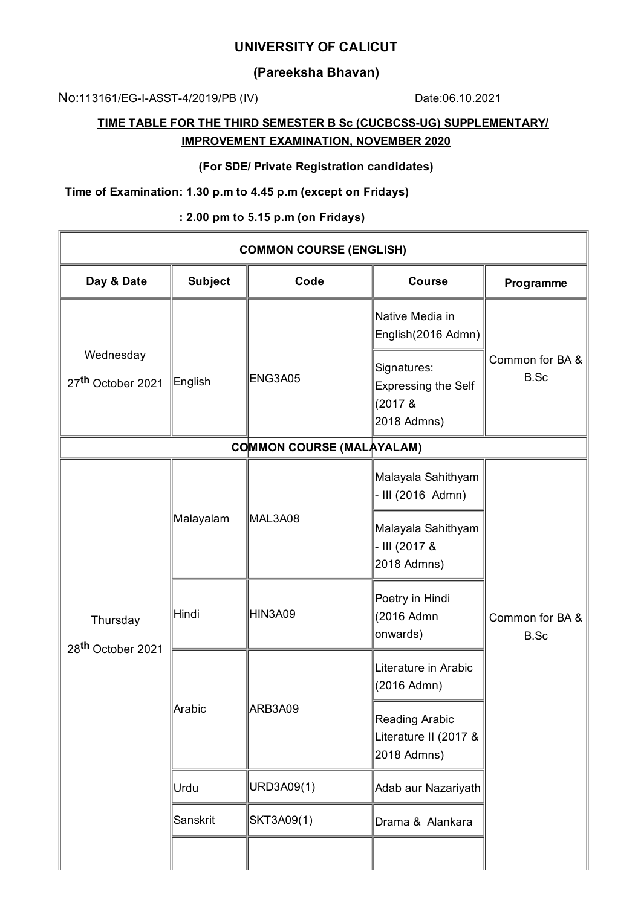## **UNIVERSITY OF CALICUT**

## **(Pareeksha Bhavan)**

No:113161/EG-I-ASST-4/2019/PB (IV) Date:06.10.2021

# **TIME TABLE FOR THE THIRD SEMESTER B Sc (CUCBCSS-UG) SUPPLEMENTARY/ IMPROVEMENT EXAMINATION, NOVEMBER 2020**

#### **(For SDE/ Private Registration candidates)**

### **Time of Examination: 1.30 p.m to 4.45 p.m (except on Fridays)**

#### **: 2.00 pm to 5.15 p.m (on Fridays)**

| <b>COMMON COURSE (ENGLISH)</b>             |                |                |                                                                                                                 |                         |  |  |  |  |
|--------------------------------------------|----------------|----------------|-----------------------------------------------------------------------------------------------------------------|-------------------------|--|--|--|--|
| Day & Date                                 | <b>Subject</b> | Code           | <b>Course</b>                                                                                                   | Programme               |  |  |  |  |
| Wednesday<br>27 <sup>th</sup> October 2021 | English        | <b>ENG3A05</b> | Native Media in<br>English(2016 Admn)<br>Signatures:<br><b>Expressing the Self</b><br>$(2017 \&$<br>2018 Admns) | Common for BA &<br>B.Sc |  |  |  |  |
| <b>COMMON COURSE (MALAYALAM)</b>           |                |                |                                                                                                                 |                         |  |  |  |  |
| Thursday<br>28 <sup>th</sup> October 2021  | Malayalam      | MAL3A08        | Malayala Sahithyam<br>III (2016 Admn)<br>Malayala Sahithyam<br>- III (2017 &<br>2018 Admns)                     |                         |  |  |  |  |
|                                            | Hindi          | <b>HIN3A09</b> | Poetry in Hindi<br>(2016 Admn<br>onwards)                                                                       | Common for BA &<br>B.Sc |  |  |  |  |
|                                            | Arabic         | ARB3A09        | Literature in Arabic<br>(2016 Admn)<br>Reading Arabic<br>Literature II (2017 &                                  |                         |  |  |  |  |
|                                            |                |                | 2018 Admns)                                                                                                     |                         |  |  |  |  |
|                                            | Urdu           | URD3A09(1)     | Adab aur Nazariyath                                                                                             |                         |  |  |  |  |
|                                            | Sanskrit       | SKT3A09(1)     | Drama & Alankara                                                                                                |                         |  |  |  |  |